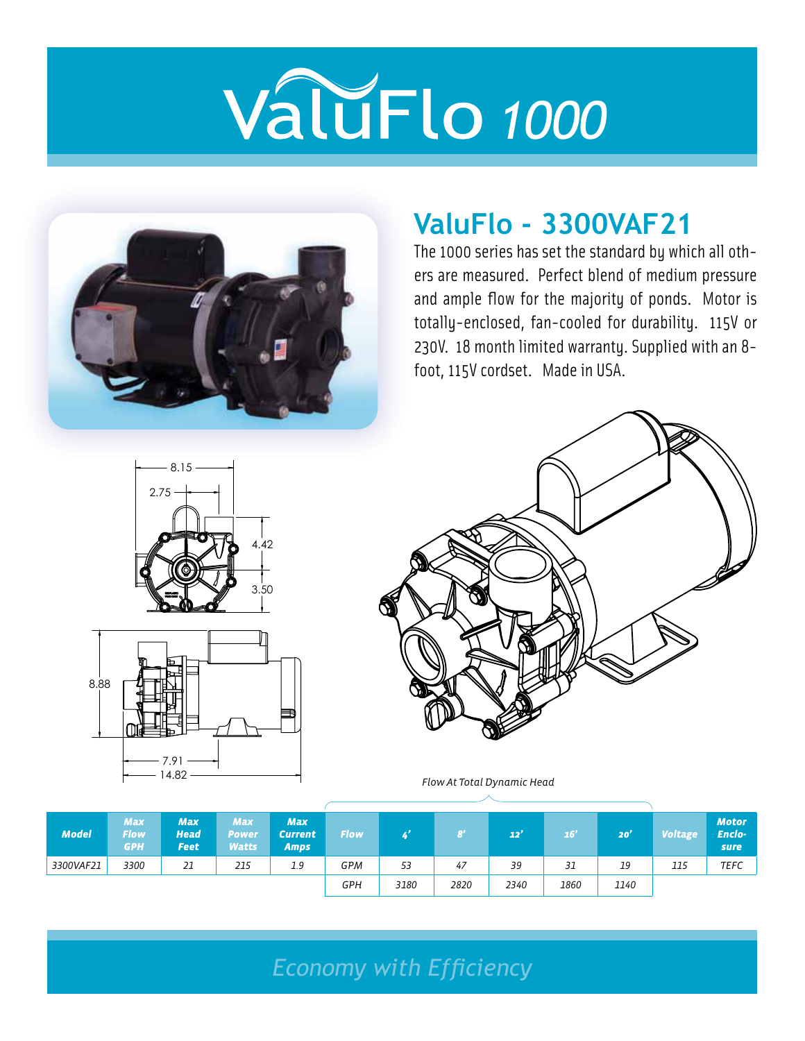

### **ValuFlo - 3300VAF21**

The 1000 series has set the standard by which all others are measured. Perfect blend of medium pressure and ample flow for the majority of ponds. Motor is totally-enclosed, fan-cooled for durability. 115V or 230V. 18 month limited warranty. Supplied with an 8 foot, 115V cordset. Made in USA.







Flow At Total Dynamic Head

| <b>Model</b> | <b>Max</b><br><b>Flow</b><br><b>GPH</b> | <b>Max</b><br><b>Head</b><br><b>Feet</b> | <b>Max</b><br>Power<br>Watts | <b>Max</b><br><b>Current</b><br><b>Amps</b> | <b>Flow</b> |      | 8'   | 22'  | 16'  | 20'  | <b>Voltage</b> | <b>Motor</b><br>Enclo-<br>sure |
|--------------|-----------------------------------------|------------------------------------------|------------------------------|---------------------------------------------|-------------|------|------|------|------|------|----------------|--------------------------------|
| 3300VAF21    | 3300                                    | 21                                       | 215                          | 1.9                                         | <b>GPM</b>  | 53   | 47   | 39   | 31   | 19   | 115            | <b>TEFC</b>                    |
|              |                                         |                                          |                              |                                             | <b>GPH</b>  | 3180 | 2820 | 2340 | 1860 | 1140 |                |                                |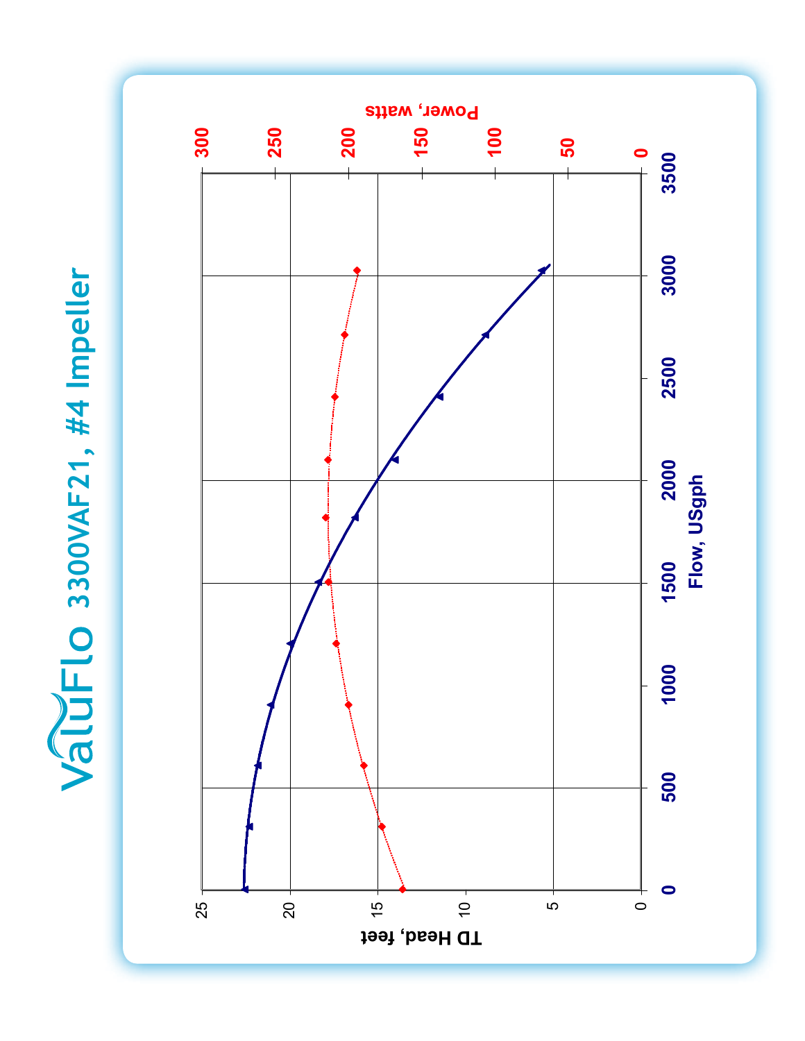ValuFIO 3300VAF21, #4 Impeller **3300VAF21, #4 Impeller**

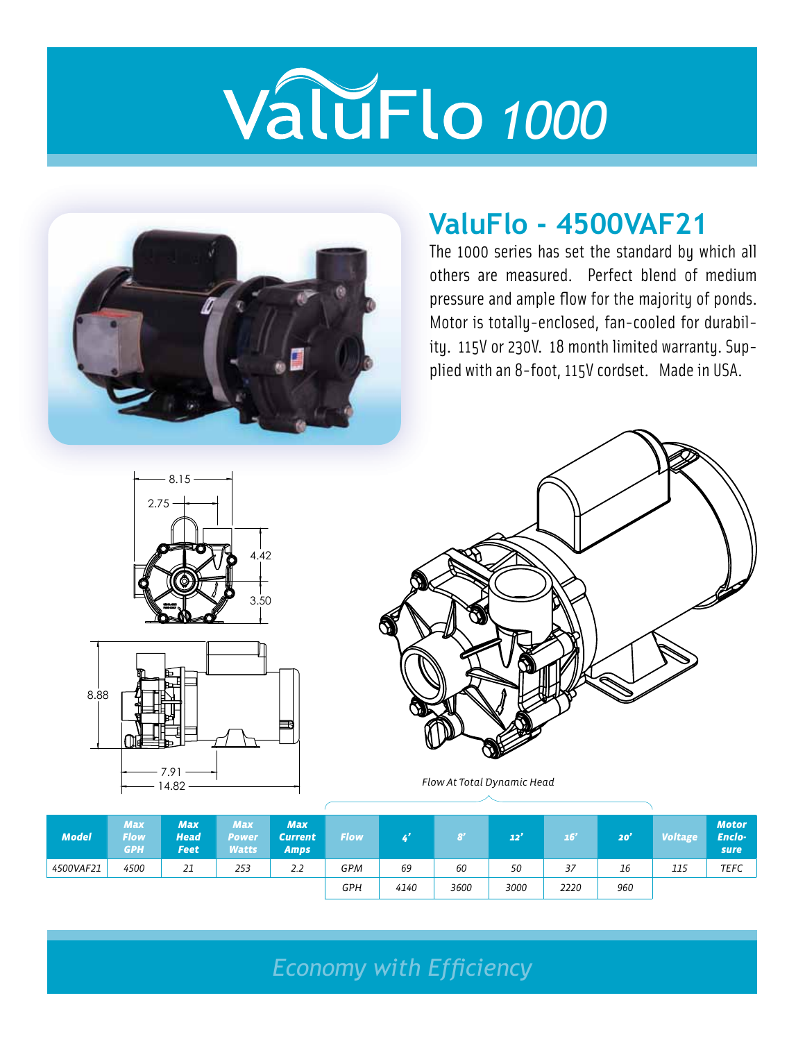

### **ValuFlo - 4500VAF21**

The 1000 series has set the standard by which all others are measured. Perfect blend of medium pressure and ample flow for the majority of ponds. Motor is totally-enclosed, fan-cooled for durability. 115V or 230V. 18 month limited warranty. Supplied with an 8-foot, 115V cordset. Made in USA.







Flow At Total Dynamic Head

| <b>Model</b> | <b>Max</b><br><b>Flow</b><br><b>GPH</b> | <b>Max</b><br><b>Head</b><br><b>Feet</b> | <b>Max</b><br>Power<br><b>Watts</b> | <b>Max</b><br><b>Current</b><br><b>Amps</b> | <b>Flow</b> |      | 8'   | 22'  | 16'  | 20' | <b>Voltage</b> | <b>Motor</b><br>Enclo-<br>sure |
|--------------|-----------------------------------------|------------------------------------------|-------------------------------------|---------------------------------------------|-------------|------|------|------|------|-----|----------------|--------------------------------|
| 4500VAF21    | 4500                                    | 21                                       | 253                                 | 2.2                                         | <b>GPM</b>  | 69   | 60   | 50   | 37   | 16  | 115            | <b>TEFC</b>                    |
|              |                                         |                                          |                                     |                                             | <b>GPH</b>  | 4140 | 3600 | 3000 | 2220 | 960 |                |                                |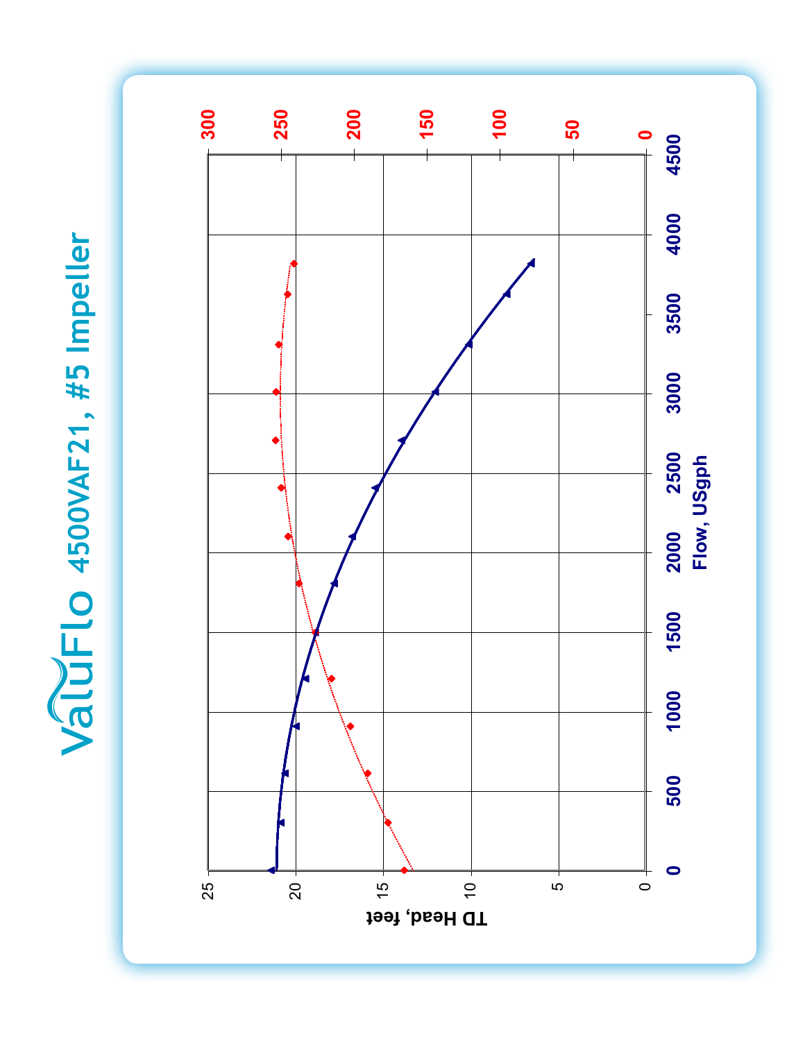ValuFlo 4500VAF21, #5 Impeller **4500VAF21, #5 Impeller**

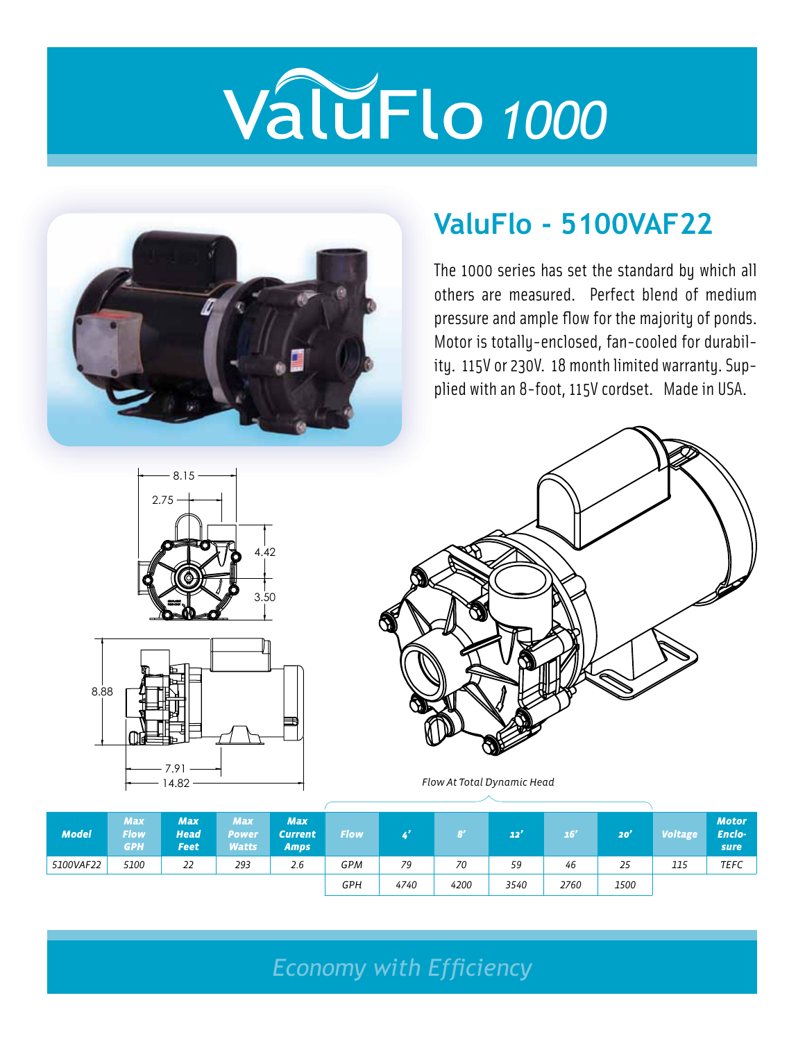

### **ValuFlo - 5100VAF22**

The 1000 series has set the standard by which all others are measured. Perfect blend of medium pressure and ample flow for the majority of ponds. Motor is totally-enclosed, fan-cooled for durability. 115V or 230V. 18 month limited warranty. Supplied with an 8-foot, 115V cordset. Made in USA.







Flow At Total Dynamic Head

| <b>Model</b> | <b>Max</b><br><b>Flow</b><br><b>GPH</b> | <b>Max</b><br><b>Head</b><br><b>Feet</b> | <b>Max</b><br>Power<br><b>Watts</b> | <b>Max</b><br><b>Current</b><br><b>Amps</b> | <b>Flow</b> |      | $\mathbf{g}^{\prime}$ | 22'  | 16'  | 20'  | <b>Voltage</b> | <b>Motor</b><br>Enclo-<br>sure |
|--------------|-----------------------------------------|------------------------------------------|-------------------------------------|---------------------------------------------|-------------|------|-----------------------|------|------|------|----------------|--------------------------------|
| 5100VAF22    | 5100                                    | 22                                       | 293                                 | 2.6                                         | <b>GPM</b>  | 79   | 70                    | 59   | 46   | 25   | 115            | <b>TEFC</b>                    |
|              |                                         |                                          |                                     |                                             | <b>GPH</b>  | 4740 | 4200                  | 3540 | 2760 | 1500 |                |                                |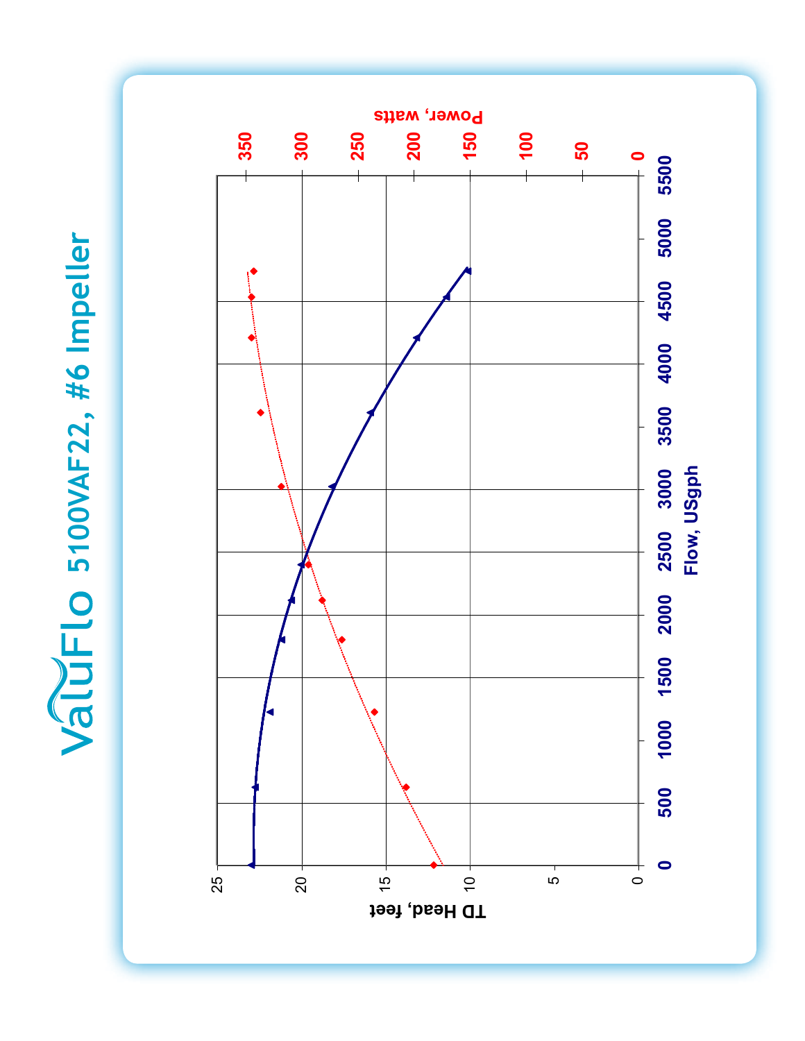ValuFlo 5100VAF22, #6 Impeller **5100VAF22, #6 Impeller**

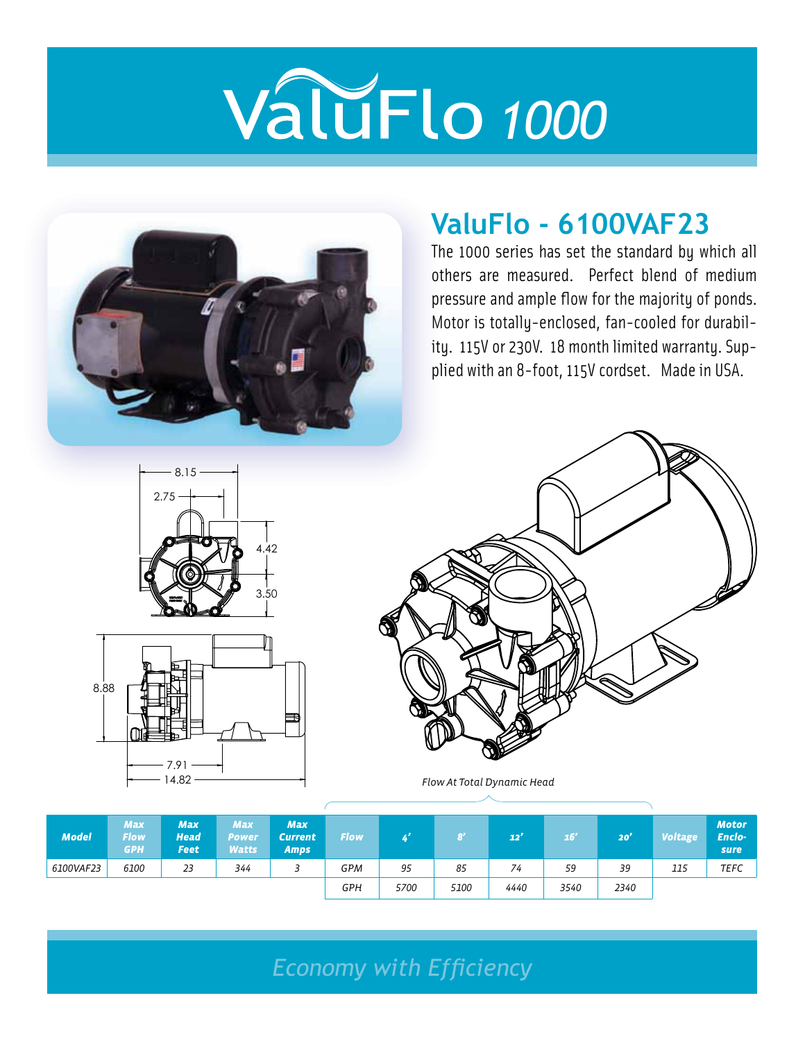

### **ValuFlo - 6100VAF23**

The 1000 series has set the standard by which all others are measured. Perfect blend of medium pressure and ample flow for the majority of ponds. Motor is totally-enclosed, fan-cooled for durability. 115V or 230V. 18 month limited warranty. Supplied with an 8-foot, 115V cordset. Made in USA.







Flow At Total Dynamic Head

| <b>Model</b> | <b>Max</b><br><b>Flow</b><br><b>GPH</b> | <b>Max</b><br><b>Head</b><br><b>Feet</b> | <b>Max</b><br>Power<br>Watts | <b>Max</b><br><b>Current</b><br><b>Amps</b> | <b>Flow</b> |      | B'   | 22'  | 16'  | 20'  | <b>Voltage</b> | <b>Motor</b><br>Enclo-<br>sure |
|--------------|-----------------------------------------|------------------------------------------|------------------------------|---------------------------------------------|-------------|------|------|------|------|------|----------------|--------------------------------|
| 6100VAF23    | 6100                                    | 23                                       | 344                          |                                             | <b>GPM</b>  | 95   | 85   | 74   | 59   | 39   | 115            | <b>TEFC</b>                    |
|              |                                         |                                          |                              |                                             | GPH         | 5700 | 5100 | 4440 | 3540 | 2340 |                |                                |